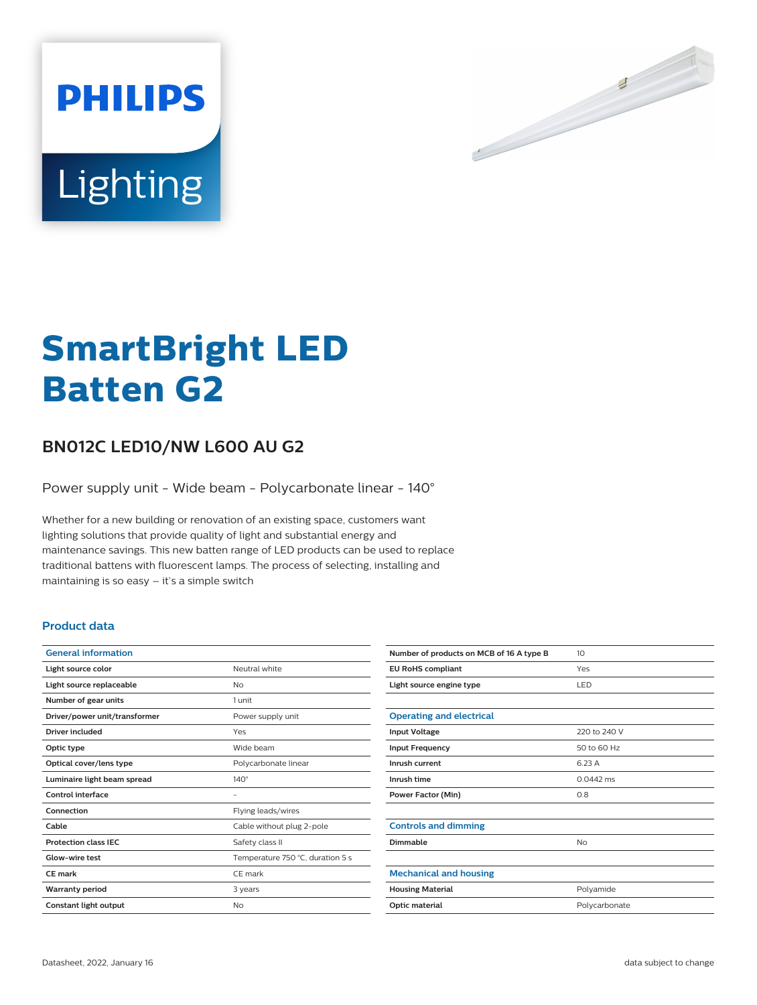

# Lighting

**PHILIPS** 

# **SmartBright LED Batten G2**

## **BN012C LED10/NW L600 AU G2**

Power supply unit - Wide beam - Polycarbonate linear - 140°

Whether for a new building or renovation of an existing space, customers want lighting solutions that provide quality of light and substantial energy and maintenance savings. This new batten range of LED products can be used to replace traditional battens with fluorescent lamps. The process of selecting, installing and maintaining is so easy – it's a simple switch

#### **Product data**

| <b>General information</b>    |                                  |
|-------------------------------|----------------------------------|
| Light source color            | Neutral white                    |
| Light source replaceable      | No                               |
| Number of gear units          | 1 unit                           |
| Driver/power unit/transformer | Power supply unit                |
| Driver included               | Yes                              |
| Optic type                    | Wide beam                        |
| Optical cover/lens type       | Polycarbonate linear             |
| Luminaire light beam spread   | $140^\circ$                      |
| Control interface             |                                  |
| Connection                    | Flying leads/wires               |
| Cable                         | Cable without plug 2-pole        |
| <b>Protection class IEC</b>   | Safety class II                  |
| Glow-wire test                | Temperature 750 °C, duration 5 s |
| <b>CE</b> mark                | CE mark                          |
| <b>Warranty period</b>        | 3 years                          |
| Constant light output         | No                               |

| Number of products on MCB of 16 A type B | 10            |
|------------------------------------------|---------------|
| <b>EU RoHS compliant</b>                 | Yes           |
| Light source engine type                 | <b>LED</b>    |
|                                          |               |
| <b>Operating and electrical</b>          |               |
| <b>Input Voltage</b>                     | 220 to 240 V  |
| <b>Input Frequency</b>                   | 50 to 60 Hz   |
| Inrush current                           | 6.23 A        |
| Inrush time                              | $0.0442$ ms   |
| <b>Power Factor (Min)</b>                | 0.8           |
|                                          |               |
| <b>Controls and dimming</b>              |               |
| Dimmable                                 | <b>No</b>     |
|                                          |               |
| <b>Mechanical and housing</b>            |               |
| <b>Housing Material</b>                  | Polyamide     |
| Optic material                           | Polycarbonate |
|                                          |               |